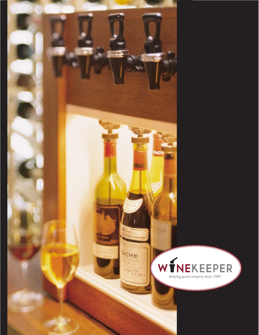

*www.winekeeper.com* **2** *855.511.5113*

ACHE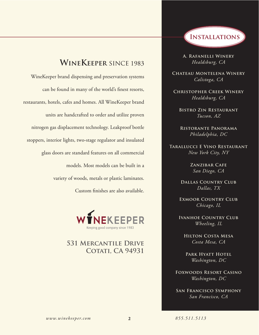## **WineKeeper** since 1983

WineKeeper brand dispensing and preservation systems can be found in many of the world's finest resorts, restaurants, hotels, cafes and homes. All WineKeeper brand units are handcrafted to order and utilize proven nitrogen gas displacement technology. Leakproof bottle stoppers, interior lights, two-stage regulator and insulated glass doors are standard features on all commercial models. Most models can be built in a variety of woods, metals or plastic laminates. Custom finishes are also available.



## **531 Mercantile Drive COTATI, CA 94931**



**A. Rafanelli Winery** *Healdsburg, CA*

**Chateau Montelena Winery** *Calistoga, CA*

**Christopher Creek Winery** *Healdsburg, CA*

**Bistro Zin Restaurant** *Tucson, AZ*

**Ristorante Panorama** *Philadelphia, DC*

**Tarallucci E Vino Restaurant** *New York City, NY*

> **Zanzibar Cafe** *San Diego, CA*

**Dallas Country Club** *Dallas, TX*

**Exmoor Country Club** *Chicago, IL*

**Ivanhoe Country Club** *Wheeling, IL*

**Hilton Costa Mesa** *Costa Mesa, CA*

PARK **HYATT HOTEL** *Washington, DC*

**Foxwoods Resort Casino** *Washington, DC*

**San Francisco Symphony** *San Francisco, CA*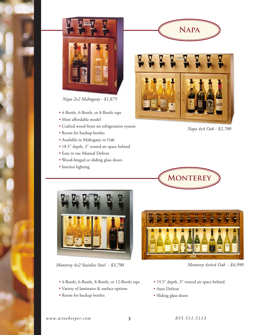

*Napa 2x2 Mahogany - \$1,875*

- 4-Bottle, 6-Bottle, or 8-Bottle taps
- Most affordable model
- Crafted wood front on refrigeration system
- Room for backup bottles
- Available in Mahogany or Oak
- 18.5" depth, 3" vented air space behind
- Easy to use Manual Defrost
- Wood-hinged or sliding glass doors
- Interior lighting



**Napa**

*Napa 4x4 Oak - \$2,700*





*Monterey 4x2 Stainless Steel - \$3,790 Monterey 4x4x4 Oak - \$4,990*

- 4-Bottle, 6-Bottle, 8-Bottle, or 12-Bottle taps
- Variety of laminates & surface options
- Room for backup bottles



- 19.5" depth, 3" vented air space behind
- Auto Defrost
- Sliding glass doors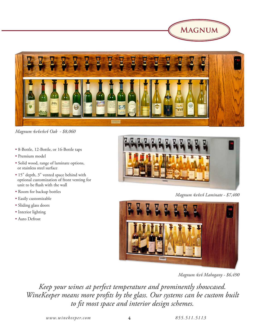



*Magnum 4x4x4x4 Oak - \$8,060*

- 8-Bottle, 12-Bottle, or 16-Bottle taps
- Premium model
- Solid wood, range of laminate options, or stainless steel surface
- 15" depth, 3" vented space behind with optional customization of front venting for unit to be flush with the wall
- Room for backup bottles
- Easily customizable
- Sliding glass doors
- Interior lighting
- Auto Defrost



*Magnum 4x4x4 Laminate - \$7,400*



*Magnum 4x4 Mahogany - \$6,490*

*Keep your wines at perfect temperature and prominently showcased. WineKeeper means more profits by the glass. Our systems can be custom built to fit most space and interior design schemes.*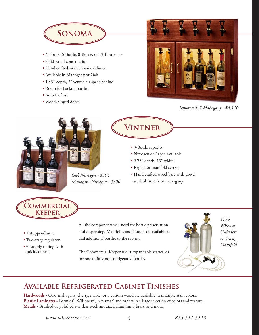

- 4-Bottle, 6-Bottle, 8-Bottle, or 12-Bottle taps
- Solid wood construction
- Hand crafted wooden wine cabinet
- Available in Mahogany or Oak
- 19.5" depth, 3" vented air space behind
- Room for backup bottles
- Auto Defrost
- Wood-hinged doors



*Sonoma 4x2 Mahogany - \$3,110*



## **Vintner**

- 3-Bottle capacity
- Nitrogen or Argon available
- 9.75" depth, 13" width
- Regulator manifold system
- Hand crafted wood base with dowel available in oak or mahogany



- 1 stopper-faucet
- Two-stage regulator
- 6' supply tubing with quick connect

All the components you need for bottle preservation and dispensing. Manifolds and faucets are available to add additional bottles to the system.

The Commercial Keeper is our expandable starter kit for one to fifty non-refrigerated bottles.



*Without Cylinders or 3-way Manifold*

## **Available Refrigerated Cabinet Finishes**

Hardwoods - Oak, mahogany, cherry, maple, or a custom wood are available in multiple stain colors. Plastic Laminates - Formica®, Wilsonart®, Nevamar® and others in a large selection of colors and textures. **Metals -** Brushed or polished stainless steel, anodized aluminum, brass, and more.